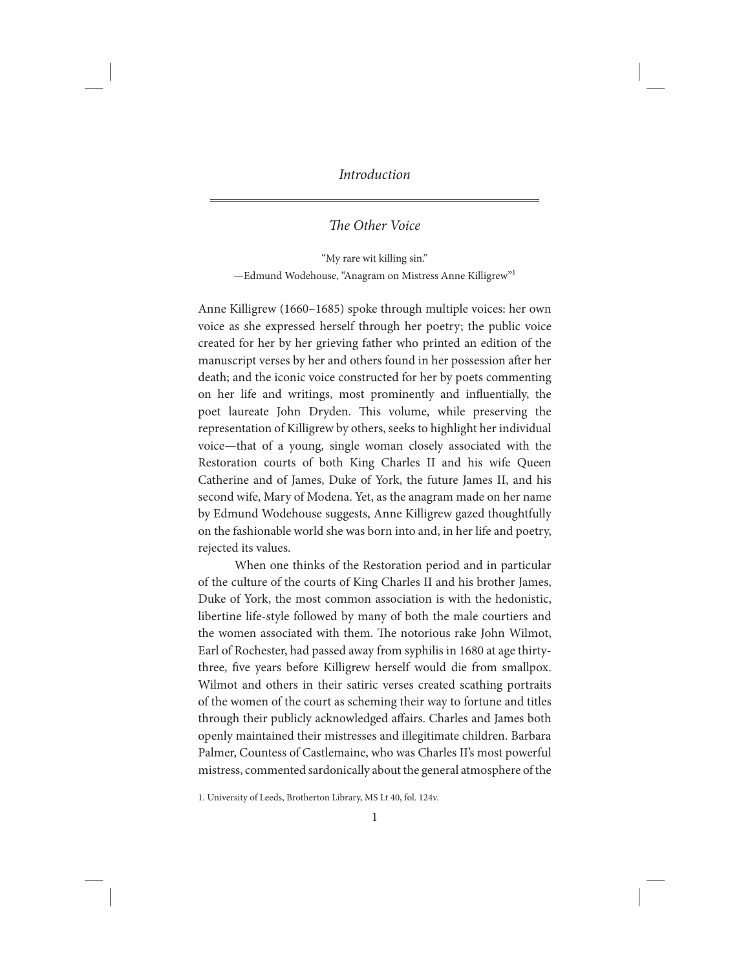# The Other Voice

"My rare wit killing sin." —Edmund Wodehouse, "Anagram on Mistress Anne Killigrew"1

Anne Killigrew (1660–1685) spoke through multiple voices: her own voice as she expressed herself through her poetry; the public voice created for her by her grieving father who printed an edition of the manuscript verses by her and others found in her possession after her death; and the iconic voice constructed for her by poets commenting on her life and writings, most prominently and influentially, the poet laureate John Dryden. This volume, while preserving the representation of Killigrew by others, seeks to highlight her individual voice—that of a young, single woman closely associated with the Restoration courts of both King Charles II and his wife Queen Catherine and of James, Duke of York, the future James II, and his second wife, Mary of Modena. Yet, as the anagram made on her name by Edmund Wodehouse suggests, Anne Killigrew gazed thoughtfully on the fashionable world she was born into and, in her life and poetry, rejected its values.

When one thinks of the Restoration period and in particular of the culture of the courts of King Charles II and his brother James, Duke of York, the most common association is with the hedonistic, libertine life-style followed by many of both the male courtiers and the women associated with them. The notorious rake John Wilmot, Earl of Rochester, had passed away from syphilis in 1680 at age thirtythree, five years before Killigrew herself would die from smallpox. Wilmot and others in their satiric verses created scathing portraits of the women of the court as scheming their way to fortune and titles through their publicly acknowledged affairs. Charles and James both openly maintained their mistresses and illegitimate children. Barbara Palmer, Countess of Castlemaine, who was Charles II's most powerful mistress, commented sardonically about the general atmosphere of the

1. University of Leeds, Brotherton Library, MS Lt 40, fol. 124v.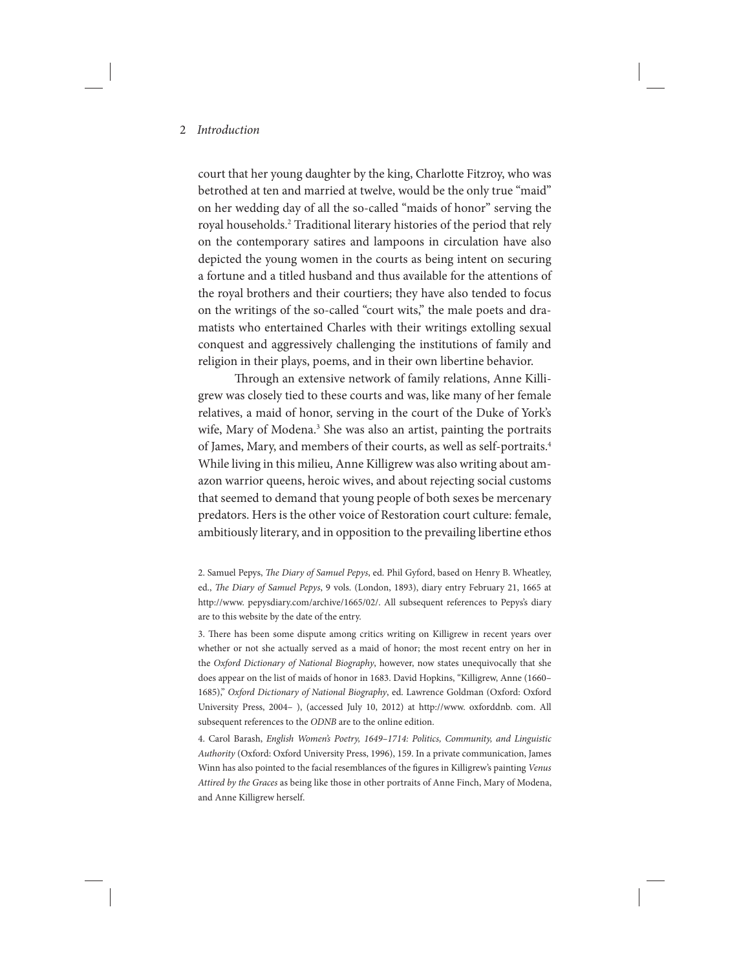court that her young daughter by the king, Charlotte Fitzroy, who was betrothed at ten and married at twelve, would be the only true "maid" on her wedding day of all the so-called "maids of honor" serving the royal households.2 Traditional literary histories of the period that rely on the contemporary satires and lampoons in circulation have also depicted the young women in the courts as being intent on securing a fortune and a titled husband and thus available for the attentions of the royal brothers and their courtiers; they have also tended to focus on the writings of the so-called "court wits," the male poets and dramatists who entertained Charles with their writings extolling sexual conquest and aggressively challenging the institutions of family and religion in their plays, poems, and in their own libertine behavior.

Through an extensive network of family relations, Anne Killigrew was closely tied to these courts and was, like many of her female relatives, a maid of honor, serving in the court of the Duke of York's wife, Mary of Modena.<sup>3</sup> She was also an artist, painting the portraits of James, Mary, and members of their courts, as well as self-portraits.4 While living in this milieu, Anne Killigrew was also writing about amazon warrior queens, heroic wives, and about rejecting social customs that seemed to demand that young people of both sexes be mercenary predators. Hers is the other voice of Restoration court culture: female, ambitiously literary, and in opposition to the prevailing libertine ethos

4. Carol Barash, English Women's Poetry, 1649–1714: Politics, Community, and Linguistic Authority (Oxford: Oxford University Press, 1996), 159. In a private communication, James Winn has also pointed to the facial resemblances of the figures in Killigrew's painting Venus Attired by the Graces as being like those in other portraits of Anne Finch, Mary of Modena, and Anne Killigrew herself.

<sup>2.</sup> Samuel Pepys, The Diary of Samuel Pepys, ed. Phil Gyford, based on Henry B. Wheatley, ed., The Diary of Samuel Pepys, 9 vols. (London, 1893), diary entry February 21, 1665 at http://www. pepysdiary.com/archive/1665/02/. All subsequent references to Pepys's diary are to this website by the date of the entry.

<sup>3.</sup> There has been some dispute among critics writing on Killigrew in recent years over whether or not she actually served as a maid of honor; the most recent entry on her in the Oxford Dictionary of National Biography, however, now states unequivocally that she does appear on the list of maids of honor in 1683. David Hopkins, "Killigrew, Anne (1660– 1685)," Oxford Dictionary of National Biography, ed. Lawrence Goldman (Oxford: Oxford University Press, 2004– ), (accessed July 10, 2012) at http://www. oxforddnb. com. All subsequent references to the ODNB are to the online edition.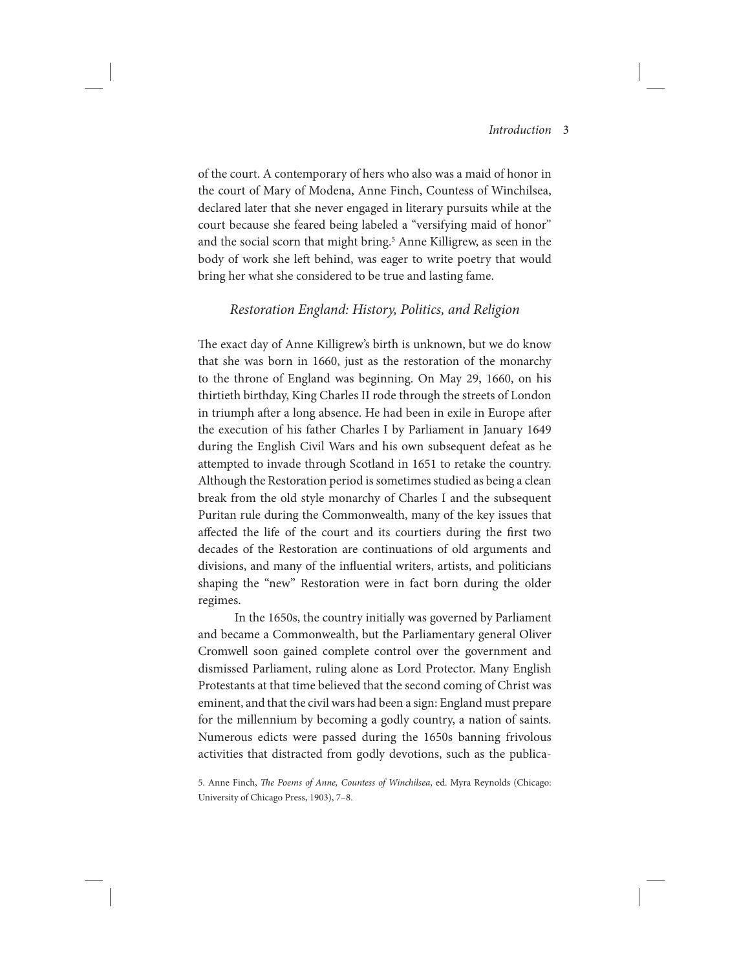of the court. A contemporary of hers who also was a maid of honor in the court of Mary of Modena, Anne Finch, Countess of Winchilsea, declared later that she never engaged in literary pursuits while at the court because she feared being labeled a "versifying maid of honor" and the social scorn that might bring.<sup>5</sup> Anne Killigrew, as seen in the body of work she left behind, was eager to write poetry that would bring her what she considered to be true and lasting fame.

## Restoration England: History, Politics, and Religion

The exact day of Anne Killigrew's birth is unknown, but we do know that she was born in 1660, just as the restoration of the monarchy to the throne of England was beginning. On May 29, 1660, on his thirtieth birthday, King Charles II rode through the streets of London in triumph after a long absence. He had been in exile in Europe after the execution of his father Charles I by Parliament in January 1649 during the English Civil Wars and his own subsequent defeat as he attempted to invade through Scotland in 1651 to retake the country. Although the Restoration period is sometimes studied as being a clean break from the old style monarchy of Charles I and the subsequent Puritan rule during the Commonwealth, many of the key issues that affected the life of the court and its courtiers during the first two decades of the Restoration are continuations of old arguments and divisions, and many of the influential writers, artists, and politicians shaping the "new" Restoration were in fact born during the older regimes.

In the 1650s, the country initially was governed by Parliament and became a Commonwealth, but the Parliamentary general Oliver Cromwell soon gained complete control over the government and dismissed Parliament, ruling alone as Lord Protector. Many English Protestants at that time believed that the second coming of Christ was eminent, and that the civil wars had been a sign: England must prepare for the millennium by becoming a godly country, a nation of saints. Numerous edicts were passed during the 1650s banning frivolous activities that distracted from godly devotions, such as the publica-

5. Anne Finch, The Poems of Anne, Countess of Winchilsea, ed. Myra Reynolds (Chicago: University of Chicago Press, 1903), 7–8.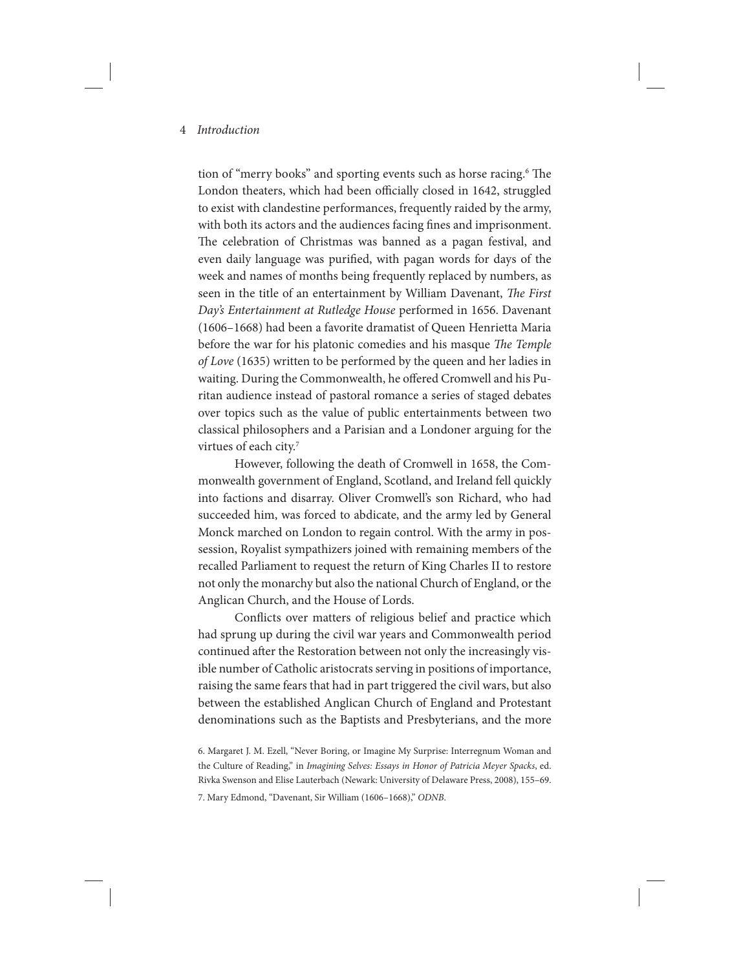tion of "merry books" and sporting events such as horse racing.<sup>6</sup> The London theaters, which had been officially closed in 1642, struggled to exist with clandestine performances, frequently raided by the army, with both its actors and the audiences facing fines and imprisonment. The celebration of Christmas was banned as a pagan festival, and even daily language was purified, with pagan words for days of the week and names of months being frequently replaced by numbers, as seen in the title of an entertainment by William Davenant, The First Day's Entertainment at Rutledge House performed in 1656. Davenant (1606–1668) had been a favorite dramatist of Queen Henrietta Maria before the war for his platonic comedies and his masque The Temple of Love (1635) written to be performed by the queen and her ladies in waiting. During the Commonwealth, he offered Cromwell and his Puritan audience instead of pastoral romance a series of staged debates over topics such as the value of public entertainments between two classical philosophers and a Parisian and a Londoner arguing for the virtues of each city.<sup>7</sup>

However, following the death of Cromwell in 1658, the Commonwealth government of England, Scotland, and Ireland fell quickly into factions and disarray. Oliver Cromwell's son Richard, who had succeeded him, was forced to abdicate, and the army led by General Monck marched on London to regain control. With the army in possession, Royalist sympathizers joined with remaining members of the recalled Parliament to request the return of King Charles II to restore not only the monarchy but also the national Church of England, or the Anglican Church, and the House of Lords.

Conflicts over matters of religious belief and practice which had sprung up during the civil war years and Commonwealth period continued after the Restoration between not only the increasingly visible number of Catholic aristocrats serving in positions of importance, raising the same fears that had in part triggered the civil wars, but also between the established Anglican Church of England and Protestant denominations such as the Baptists and Presbyterians, and the more

6. Margaret J. M. Ezell, "Never Boring, or Imagine My Surprise: Interregnum Woman and the Culture of Reading," in Imagining Selves: Essays in Honor of Patricia Meyer Spacks, ed. Rivka Swenson and Elise Lauterbach (Newark: University of Delaware Press, 2008), 155–69. 7. Mary Edmond, "Davenant, Sir William (1606–1668)," ODNB.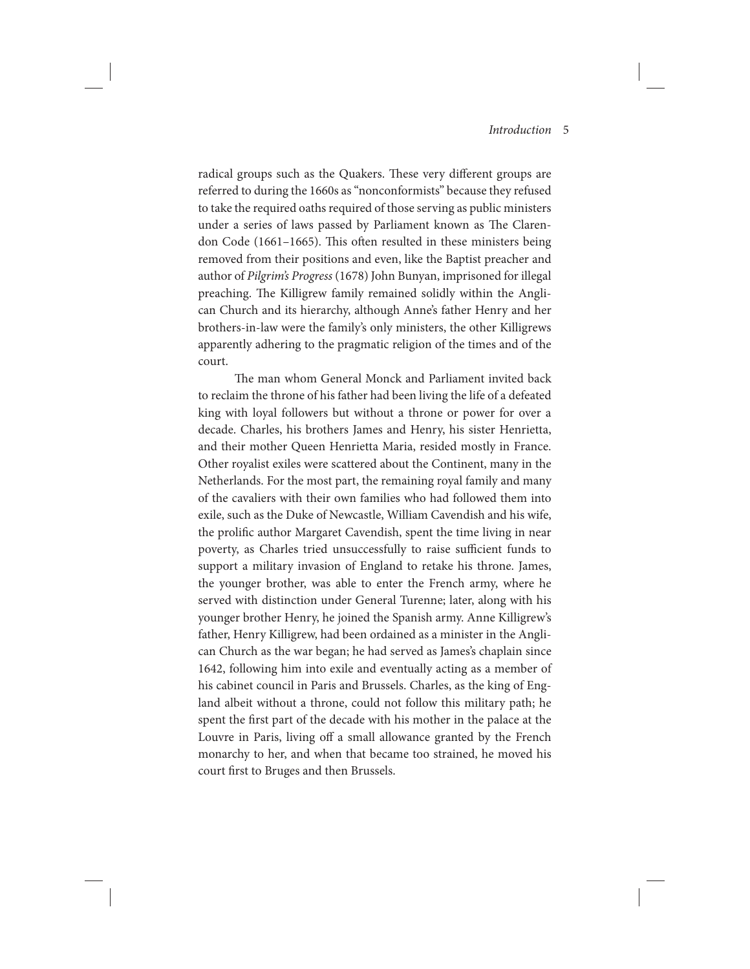radical groups such as the Quakers. These very different groups are referred to during the 1660s as "nonconformists" because they refused to take the required oaths required of those serving as public ministers under a series of laws passed by Parliament known as The Clarendon Code (1661–1665). This often resulted in these ministers being removed from their positions and even, like the Baptist preacher and author of Pilgrim's Progress (1678) John Bunyan, imprisoned for illegal preaching. The Killigrew family remained solidly within the Anglican Church and its hierarchy, although Anne's father Henry and her brothers-in-law were the family's only ministers, the other Killigrews apparently adhering to the pragmatic religion of the times and of the court.

The man whom General Monck and Parliament invited back to reclaim the throne of his father had been living the life of a defeated king with loyal followers but without a throne or power for over a decade. Charles, his brothers James and Henry, his sister Henrietta, and their mother Queen Henrietta Maria, resided mostly in France. Other royalist exiles were scattered about the Continent, many in the Netherlands. For the most part, the remaining royal family and many of the cavaliers with their own families who had followed them into exile, such as the Duke of Newcastle, William Cavendish and his wife, the prolific author Margaret Cavendish, spent the time living in near poverty, as Charles tried unsuccessfully to raise sufficient funds to support a military invasion of England to retake his throne. James, the younger brother, was able to enter the French army, where he served with distinction under General Turenne; later, along with his younger brother Henry, he joined the Spanish army. Anne Killigrew's father, Henry Killigrew, had been ordained as a minister in the Anglican Church as the war began; he had served as James's chaplain since 1642, following him into exile and eventually acting as a member of his cabinet council in Paris and Brussels. Charles, as the king of England albeit without a throne, could not follow this military path; he spent the first part of the decade with his mother in the palace at the Louvre in Paris, living off a small allowance granted by the French monarchy to her, and when that became too strained, he moved his court first to Bruges and then Brussels.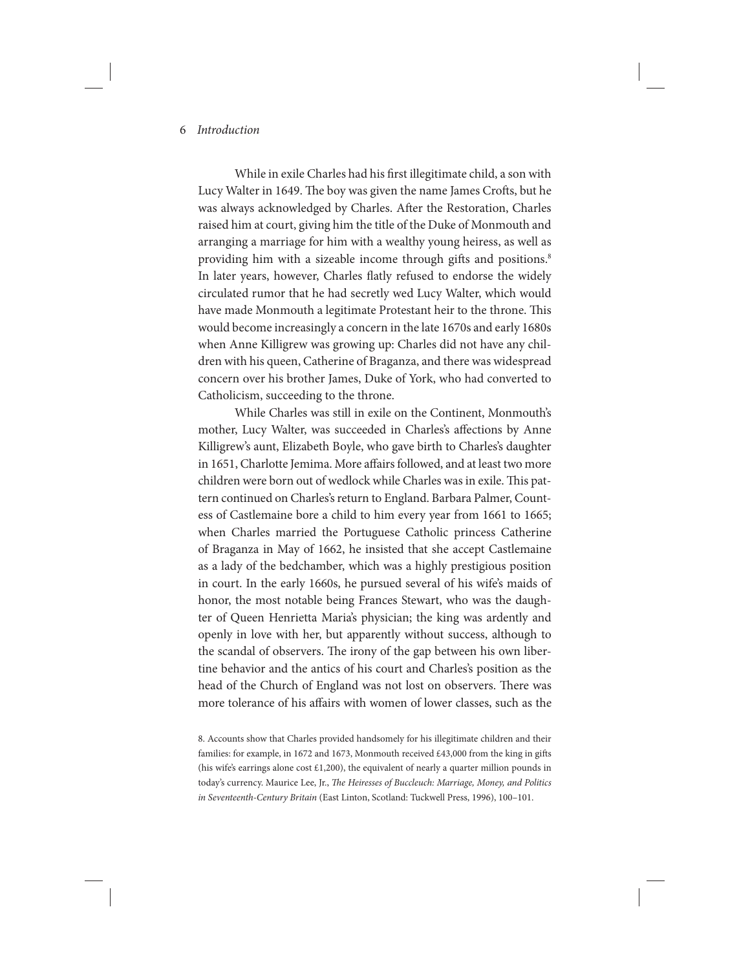While in exile Charles had his first illegitimate child, a son with Lucy Walter in 1649. The boy was given the name James Crofts, but he was always acknowledged by Charles. After the Restoration, Charles raised him at court, giving him the title of the Duke of Monmouth and arranging a marriage for him with a wealthy young heiress, as well as providing him with a sizeable income through gifts and positions.<sup>8</sup> In later years, however, Charles flatly refused to endorse the widely circulated rumor that he had secretly wed Lucy Walter, which would have made Monmouth a legitimate Protestant heir to the throne. This would become increasingly a concern in the late 1670s and early 1680s when Anne Killigrew was growing up: Charles did not have any children with his queen, Catherine of Braganza, and there was widespread concern over his brother James, Duke of York, who had converted to Catholicism, succeeding to the throne.

While Charles was still in exile on the Continent, Monmouth's mother, Lucy Walter, was succeeded in Charles's affections by Anne Killigrew's aunt, Elizabeth Boyle, who gave birth to Charles's daughter in 1651, Charlotte Jemima. More affairs followed, and at least two more children were born out of wedlock while Charles was in exile. This pattern continued on Charles's return to England. Barbara Palmer, Countess of Castlemaine bore a child to him every year from 1661 to 1665; when Charles married the Portuguese Catholic princess Catherine of Braganza in May of 1662, he insisted that she accept Castlemaine as a lady of the bedchamber, which was a highly prestigious position in court. In the early 1660s, he pursued several of his wife's maids of honor, the most notable being Frances Stewart, who was the daughter of Queen Henrietta Maria's physician; the king was ardently and openly in love with her, but apparently without success, although to the scandal of observers. The irony of the gap between his own libertine behavior and the antics of his court and Charles's position as the head of the Church of England was not lost on observers. There was more tolerance of his affairs with women of lower classes, such as the

<sup>8.</sup> Accounts show that Charles provided handsomely for his illegitimate children and their families: for example, in 1672 and 1673, Monmouth received £43,000 from the king in gifts (his wife's earrings alone cost  $£1,200$ ), the equivalent of nearly a quarter million pounds in today's currency. Maurice Lee, Jr., The Heiresses of Buccleuch: Marriage, Money, and Politics in Seventeenth-Century Britain (East Linton, Scotland: Tuckwell Press, 1996), 100–101.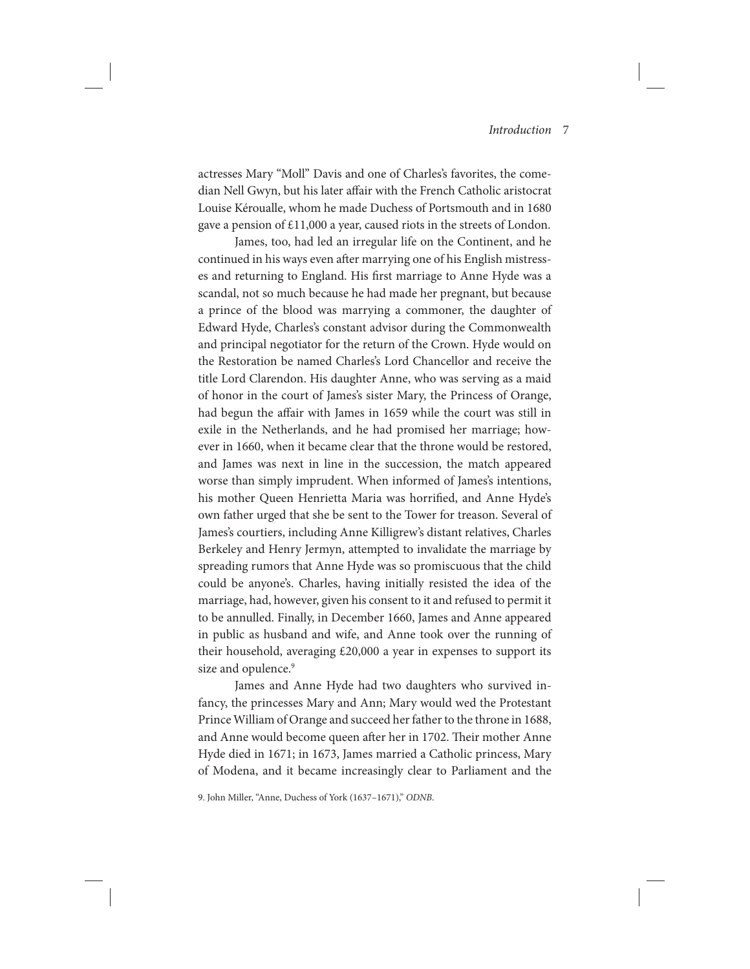actresses Mary "Moll" Davis and one of Charles's favorites, the comedian Nell Gwyn, but his later affair with the French Catholic aristocrat Louise Kéroualle, whom he made Duchess of Portsmouth and in 1680 gave a pension of £11,000 a year, caused riots in the streets of London.

James, too, had led an irregular life on the Continent, and he continued in his ways even after marrying one of his English mistresses and returning to England. His first marriage to Anne Hyde was a scandal, not so much because he had made her pregnant, but because a prince of the blood was marrying a commoner, the daughter of Edward Hyde, Charles's constant advisor during the Commonwealth and principal negotiator for the return of the Crown. Hyde would on the Restoration be named Charles's Lord Chancellor and receive the title Lord Clarendon. His daughter Anne, who was serving as a maid of honor in the court of James's sister Mary, the Princess of Orange, had begun the affair with James in 1659 while the court was still in exile in the Netherlands, and he had promised her marriage; however in 1660, when it became clear that the throne would be restored, and James was next in line in the succession, the match appeared worse than simply imprudent. When informed of James's intentions, his mother Queen Henrietta Maria was horrified, and Anne Hyde's own father urged that she be sent to the Tower for treason. Several of James's courtiers, including Anne Killigrew's distant relatives, Charles Berkeley and Henry Jermyn, attempted to invalidate the marriage by spreading rumors that Anne Hyde was so promiscuous that the child could be anyone's. Charles, having initially resisted the idea of the marriage, had, however, given his consent to it and refused to permit it to be annulled. Finally, in December 1660, James and Anne appeared in public as husband and wife, and Anne took over the running of their household, averaging £20,000 a year in expenses to support its size and opulence.<sup>9</sup>

James and Anne Hyde had two daughters who survived infancy, the princesses Mary and Ann; Mary would wed the Protestant Prince William of Orange and succeed her father to the throne in 1688, and Anne would become queen after her in 1702. Their mother Anne Hyde died in 1671; in 1673, James married a Catholic princess, Mary of Modena, and it became increasingly clear to Parliament and the

9. John Miller, "Anne, Duchess of York (1637–1671)," ODNB.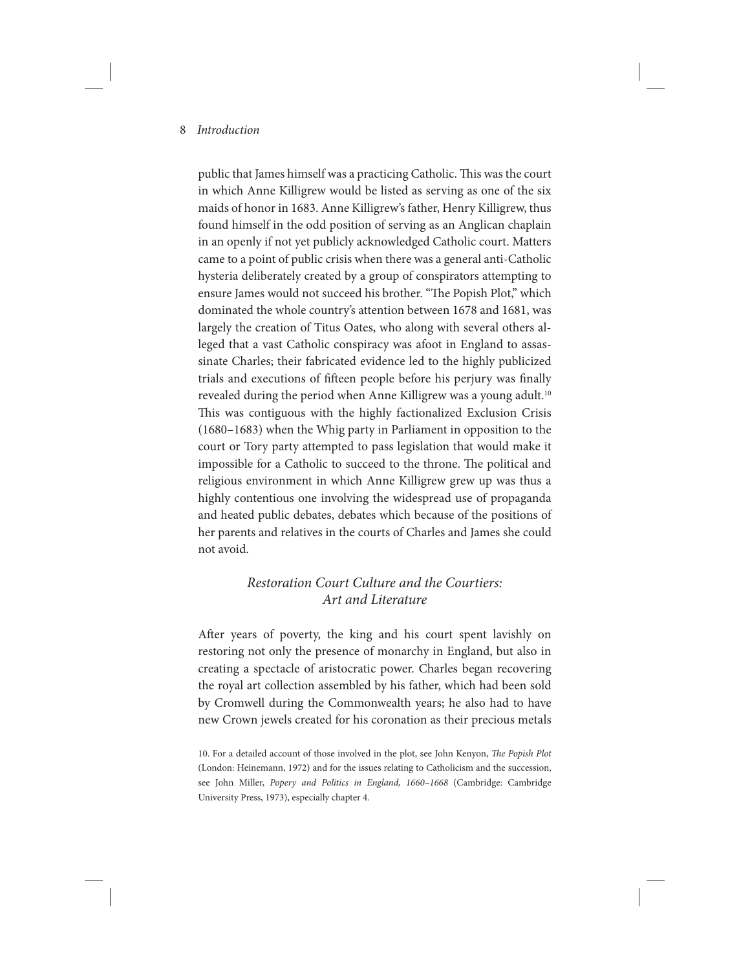public that James himself was a practicing Catholic. This was the court in which Anne Killigrew would be listed as serving as one of the six maids of honor in 1683. Anne Killigrew's father, Henry Killigrew, thus found himself in the odd position of serving as an Anglican chaplain in an openly if not yet publicly acknowledged Catholic court. Matters came to a point of public crisis when there was a general anti-Catholic hysteria deliberately created by a group of conspirators attempting to ensure James would not succeed his brother. "The Popish Plot," which dominated the whole country's attention between 1678 and 1681, was largely the creation of Titus Oates, who along with several others alleged that a vast Catholic conspiracy was afoot in England to assassinate Charles; their fabricated evidence led to the highly publicized trials and executions of fifteen people before his perjury was finally revealed during the period when Anne Killigrew was a young adult.<sup>10</sup> This was contiguous with the highly factionalized Exclusion Crisis (1680–1683) when the Whig party in Parliament in opposition to the court or Tory party attempted to pass legislation that would make it impossible for a Catholic to succeed to the throne. The political and religious environment in which Anne Killigrew grew up was thus a highly contentious one involving the widespread use of propaganda and heated public debates, debates which because of the positions of her parents and relatives in the courts of Charles and James she could not avoid.

# Restoration Court Culture and the Courtiers: Art and Literature

After years of poverty, the king and his court spent lavishly on restoring not only the presence of monarchy in England, but also in creating a spectacle of aristocratic power. Charles began recovering the royal art collection assembled by his father, which had been sold by Cromwell during the Commonwealth years; he also had to have new Crown jewels created for his coronation as their precious metals

<sup>10.</sup> For a detailed account of those involved in the plot, see John Kenyon, The Popish Plot (London: Heinemann, 1972) and for the issues relating to Catholicism and the succession, see John Miller, Popery and Politics in England, 1660–1668 (Cambridge: Cambridge University Press, 1973), especially chapter 4.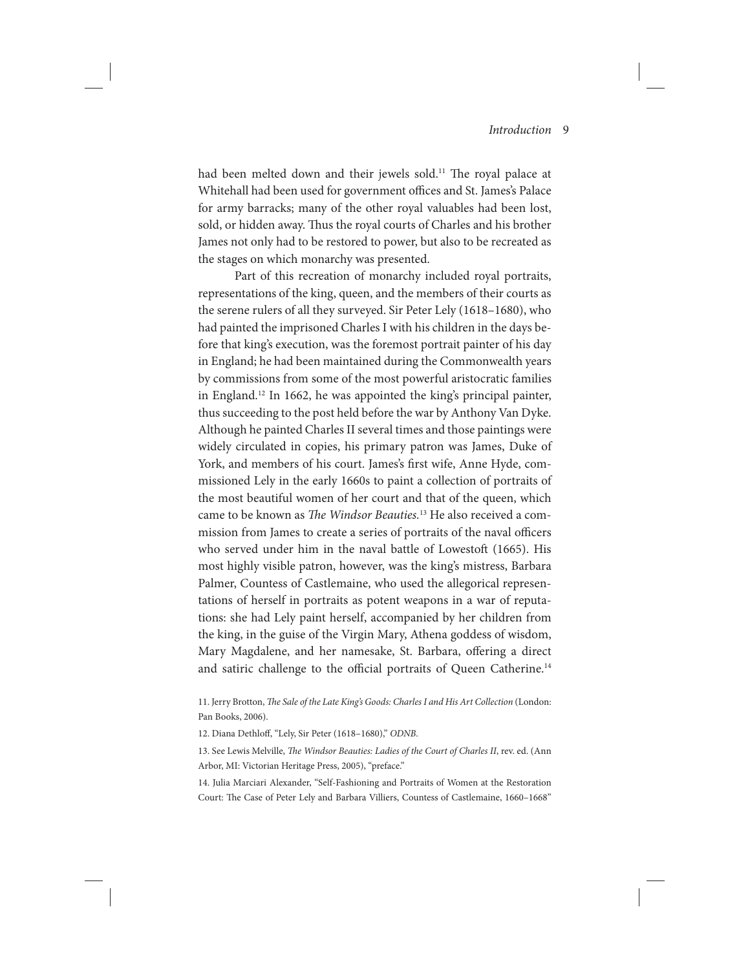had been melted down and their jewels sold.<sup>11</sup> The royal palace at Whitehall had been used for government offices and St. James's Palace for army barracks; many of the other royal valuables had been lost, sold, or hidden away. Thus the royal courts of Charles and his brother James not only had to be restored to power, but also to be recreated as the stages on which monarchy was presented.

Part of this recreation of monarchy included royal portraits, representations of the king, queen, and the members of their courts as the serene rulers of all they surveyed. Sir Peter Lely (1618–1680), who had painted the imprisoned Charles I with his children in the days before that king's execution, was the foremost portrait painter of his day in England; he had been maintained during the Commonwealth years by commissions from some of the most powerful aristocratic families in England.12 In 1662, he was appointed the king's principal painter, thus succeeding to the post held before the war by Anthony Van Dyke. Although he painted Charles II several times and those paintings were widely circulated in copies, his primary patron was James, Duke of York, and members of his court. James's first wife, Anne Hyde, commissioned Lely in the early 1660s to paint a collection of portraits of the most beautiful women of her court and that of the queen, which came to be known as The Windsor Beauties.<sup>13</sup> He also received a commission from James to create a series of portraits of the naval officers who served under him in the naval battle of Lowestoft (1665). His most highly visible patron, however, was the king's mistress, Barbara Palmer, Countess of Castlemaine, who used the allegorical representations of herself in portraits as potent weapons in a war of reputations: she had Lely paint herself, accompanied by her children from the king, in the guise of the Virgin Mary, Athena goddess of wisdom, Mary Magdalene, and her namesake, St. Barbara, offering a direct and satiric challenge to the official portraits of Queen Catherine.<sup>14</sup>

11. Jerry Brotton, The Sale of the Late King's Goods: Charles I and His Art Collection (London: Pan Books, 2006).

12. Diana Dethloff, "Lely, Sir Peter (1618–1680)," ODNB.

13. See Lewis Melville, The Windsor Beauties: Ladies of the Court of Charles II, rev. ed. (Ann Arbor, MI: Victorian Heritage Press, 2005), "preface."

14. Julia Marciari Alexander, "Self-Fashioning and Portraits of Women at the Restoration Court: The Case of Peter Lely and Barbara Villiers, Countess of Castlemaine, 1660–1668"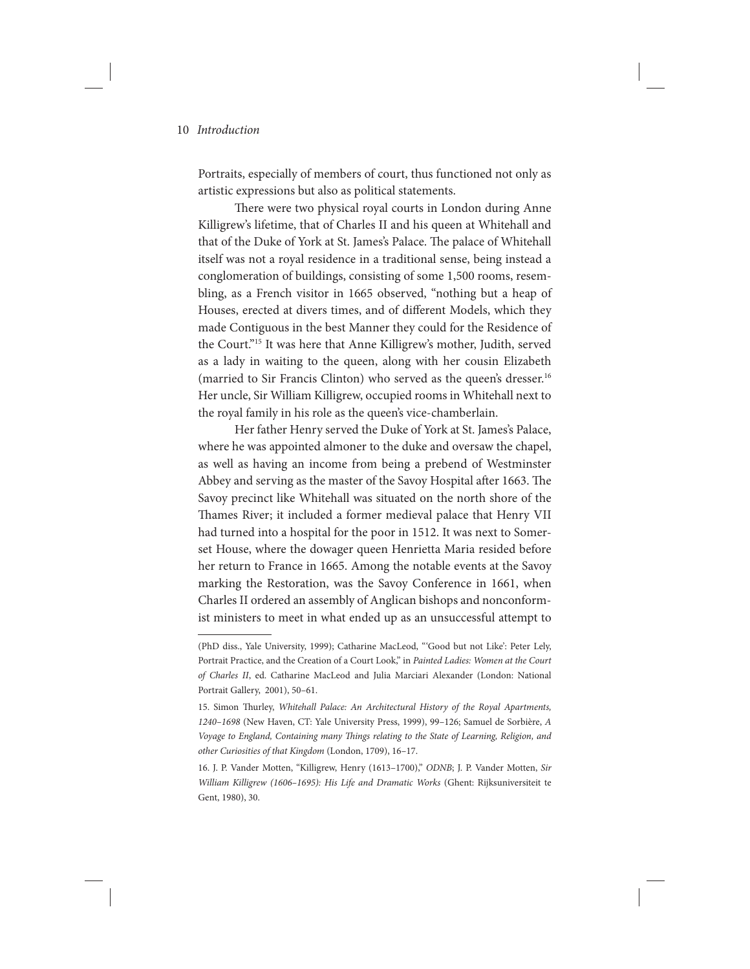Portraits, especially of members of court, thus functioned not only as artistic expressions but also as political statements.

There were two physical royal courts in London during Anne Killigrew's lifetime, that of Charles II and his queen at Whitehall and that of the Duke of York at St. James's Palace. The palace of Whitehall itself was not a royal residence in a traditional sense, being instead a conglomeration of buildings, consisting of some 1,500 rooms, resembling, as a French visitor in 1665 observed, "nothing but a heap of Houses, erected at divers times, and of different Models, which they made Contiguous in the best Manner they could for the Residence of the Court."15 It was here that Anne Killigrew's mother, Judith, served as a lady in waiting to the queen, along with her cousin Elizabeth (married to Sir Francis Clinton) who served as the queen's dresser.16 Her uncle, Sir William Killigrew, occupied rooms in Whitehall next to the royal family in his role as the queen's vice-chamberlain.

Her father Henry served the Duke of York at St. James's Palace, where he was appointed almoner to the duke and oversaw the chapel, as well as having an income from being a prebend of Westminster Abbey and serving as the master of the Savoy Hospital after 1663. The Savoy precinct like Whitehall was situated on the north shore of the Thames River; it included a former medieval palace that Henry VII had turned into a hospital for the poor in 1512. It was next to Somerset House, where the dowager queen Henrietta Maria resided before her return to France in 1665. Among the notable events at the Savoy marking the Restoration, was the Savoy Conference in 1661, when Charles II ordered an assembly of Anglican bishops and nonconformist ministers to meet in what ended up as an unsuccessful attempt to

<sup>(</sup>PhD diss., Yale University, 1999); Catharine MacLeod, " 'Good but not Like': Peter Lely, Portrait Practice, and the Creation of a Court Look," in Painted Ladies: Women at the Court of Charles II, ed. Catharine MacLeod and Julia Marciari Alexander (London: National Portrait Gallery, 2001), 50–61.

<sup>15.</sup> Simon Thurley, Whitehall Palace: An Architectural History of the Royal Apartments, 1240–1698 (New Haven, CT: Yale University Press, 1999), 99–126; Samuel de Sorbière, A Voyage to England, Containing many Things relating to the State of Learning, Religion, and other Curiosities of that Kingdom (London, 1709), 16–17.

<sup>16.</sup> J. P. Vander Motten, "Killigrew, Henry (1613–1700)," ODNB; J. P. Vander Motten, Sir William Killigrew (1606–1695): His Life and Dramatic Works (Ghent: Rijksuniversiteit te Gent, 1980), 30.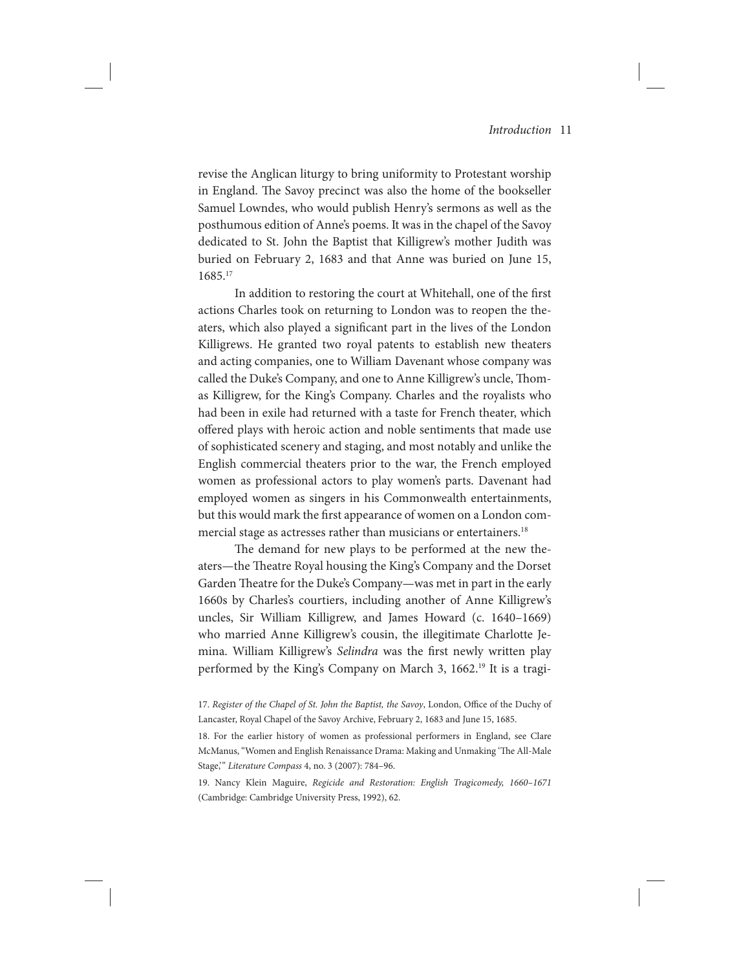revise the Anglican liturgy to bring uniformity to Protestant worship in England. The Savoy precinct was also the home of the bookseller Samuel Lowndes, who would publish Henry's sermons as well as the posthumous edition of Anne's poems. It was in the chapel of the Savoy dedicated to St. John the Baptist that Killigrew's mother Judith was buried on February 2, 1683 and that Anne was buried on June 15, 1685.17

In addition to restoring the court at Whitehall, one of the first actions Charles took on returning to London was to reopen the theaters, which also played a significant part in the lives of the London Killigrews. He granted two royal patents to establish new theaters and acting companies, one to William Davenant whose company was called the Duke's Company, and one to Anne Killigrew's uncle, Thomas Killigrew, for the King's Company. Charles and the royalists who had been in exile had returned with a taste for French theater, which offered plays with heroic action and noble sentiments that made use of sophisticated scenery and staging, and most notably and unlike the English commercial theaters prior to the war, the French employed women as professional actors to play women's parts. Davenant had employed women as singers in his Commonwealth entertainments, but this would mark the first appearance of women on a London commercial stage as actresses rather than musicians or entertainers.<sup>18</sup>

The demand for new plays to be performed at the new theaters—the Theatre Royal housing the King's Company and the Dorset Garden Theatre for the Duke's Company—was met in part in the early 1660s by Charles's courtiers, including another of Anne Killigrew's uncles, Sir William Killigrew, and James Howard (c. 1640–1669) who married Anne Killigrew's cousin, the illegitimate Charlotte Jemina. William Killigrew's Selindra was the first newly written play performed by the King's Company on March 3, 1662.<sup>19</sup> It is a tragi-

<sup>17.</sup> Register of the Chapel of St. John the Baptist, the Savoy, London, Office of the Duchy of Lancaster, Royal Chapel of the Savoy Archive, February 2, 1683 and June 15, 1685.

<sup>18.</sup> For the earlier history of women as professional performers in England, see Clare McManus, "Women and English Renaissance Drama: Making and Unmaking 'The All-Male Stage," Literature Compass 4, no. 3 (2007): 784-96.

<sup>19.</sup> Nancy Klein Maguire, Regicide and Restoration: English Tragicomedy, 1660–1671 (Cambridge: Cambridge University Press, 1992), 62.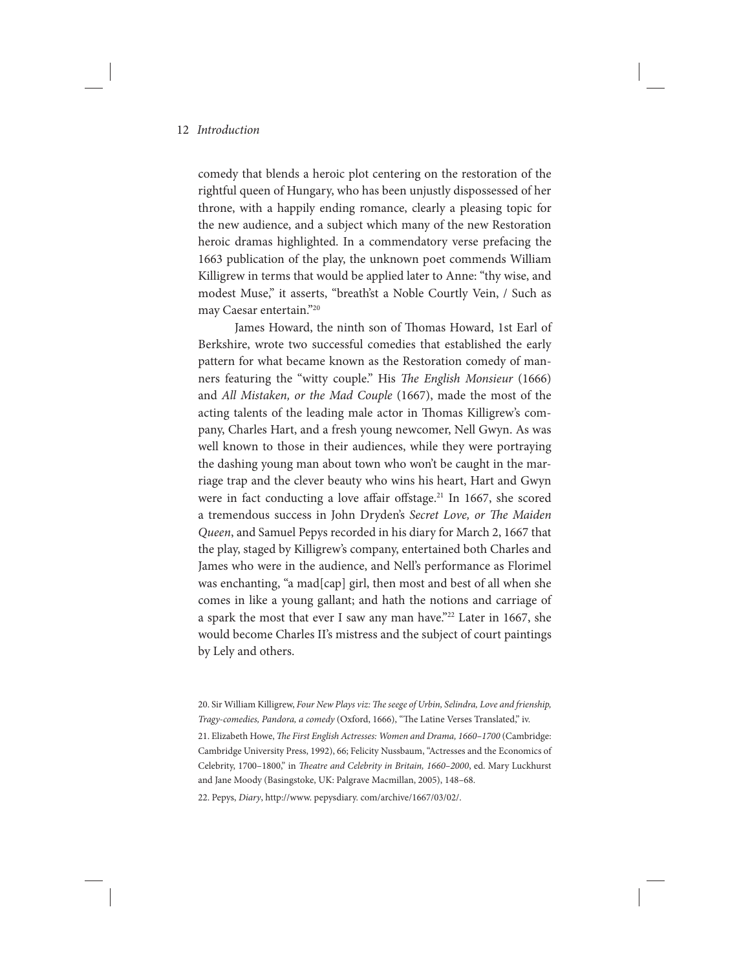comedy that blends a heroic plot centering on the restoration of the rightful queen of Hungary, who has been unjustly dispossessed of her throne, with a happily ending romance, clearly a pleasing topic for the new audience, and a subject which many of the new Restoration heroic dramas highlighted. In a commendatory verse prefacing the 1663 publication of the play, the unknown poet commends William Killigrew in terms that would be applied later to Anne: "thy wise, and modest Muse," it asserts, "breath'st a Noble Courtly Vein, / Such as may Caesar entertain."20

James Howard, the ninth son of Thomas Howard, 1st Earl of Berkshire, wrote two successful comedies that established the early pattern for what became known as the Restoration comedy of manners featuring the "witty couple." His The English Monsieur (1666) and All Mistaken, or the Mad Couple (1667), made the most of the acting talents of the leading male actor in Thomas Killigrew's company, Charles Hart, and a fresh young newcomer, Nell Gwyn. As was well known to those in their audiences, while they were portraying the dashing young man about town who won't be caught in the marriage trap and the clever beauty who wins his heart, Hart and Gwyn were in fact conducting a love affair offstage.<sup>21</sup> In 1667, she scored a tremendous success in John Dryden's Secret Love, or The Maiden Queen, and Samuel Pepys recorded in his diary for March 2, 1667 that the play, staged by Killigrew's company, entertained both Charles and James who were in the audience, and Nell's performance as Florimel was enchanting, "a mad[cap] girl, then most and best of all when she comes in like a young gallant; and hath the notions and carriage of a spark the most that ever I saw any man have."<sup>22</sup> Later in 1667, she would become Charles II's mistress and the subject of court paintings by Lely and others.

22. Pepys, Diary, http://www. pepysdiary. com/archive/1667/03/02/.

<sup>20.</sup> Sir William Killigrew, Four New Plays viz: The seege of Urbin, Selindra, Love and frienship, Tragy-comedies, Pandora, a comedy (Oxford, 1666), "The Latine Verses Translated," iv.

<sup>21.</sup> Elizabeth Howe, The First English Actresses: Women and Drama, 1660–1700 (Cambridge: Cambridge University Press, 1992), 66; Felicity Nussbaum, "Actresses and the Economics of Celebrity, 1700–1800," in Theatre and Celebrity in Britain, 1660–2000, ed. Mary Luckhurst and Jane Moody (Basingstoke, UK: Palgrave Macmillan, 2005), 148–68.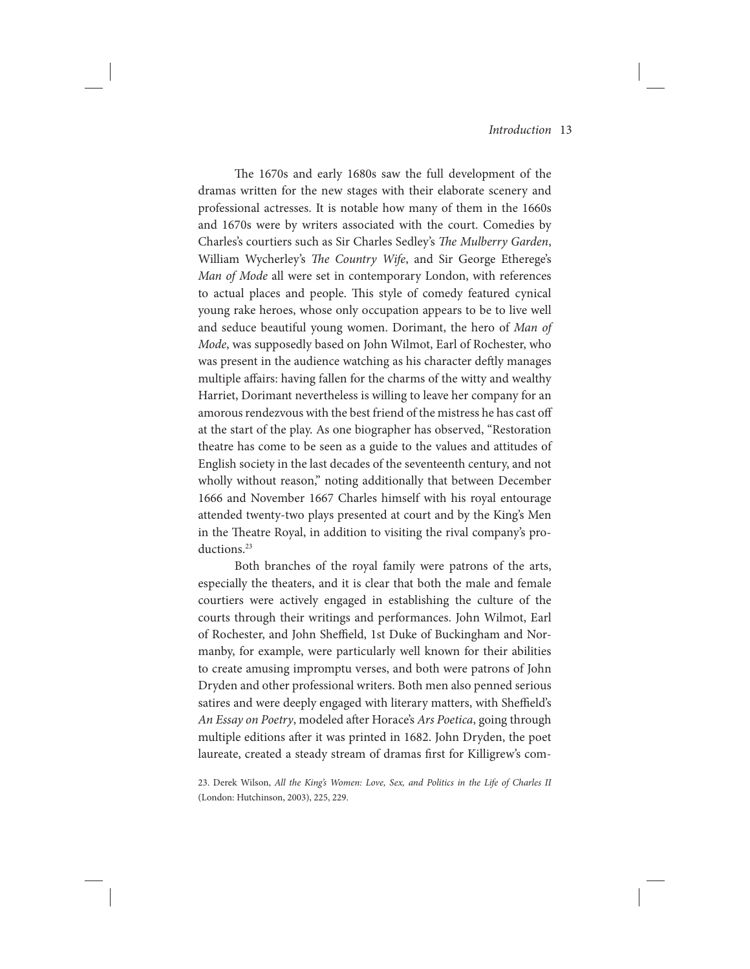The 1670s and early 1680s saw the full development of the dramas written for the new stages with their elaborate scenery and professional actresses. It is notable how many of them in the 1660s and 1670s were by writers associated with the court. Comedies by Charles's courtiers such as Sir Charles Sedley's The Mulberry Garden, William Wycherley's The Country Wife, and Sir George Etherege's Man of Mode all were set in contemporary London, with references to actual places and people. This style of comedy featured cynical young rake heroes, whose only occupation appears to be to live well and seduce beautiful young women. Dorimant, the hero of Man of Mode, was supposedly based on John Wilmot, Earl of Rochester, who was present in the audience watching as his character deftly manages multiple affairs: having fallen for the charms of the witty and wealthy Harriet, Dorimant nevertheless is willing to leave her company for an amorous rendezvous with the best friend of the mistress he has cast off at the start of the play. As one biographer has observed, "Restoration theatre has come to be seen as a guide to the values and attitudes of English society in the last decades of the seventeenth century, and not wholly without reason," noting additionally that between December 1666 and November 1667 Charles himself with his royal entourage attended twenty-two plays presented at court and by the King's Men in the Theatre Royal, in addition to visiting the rival company's productions.23

Both branches of the royal family were patrons of the arts, especially the theaters, and it is clear that both the male and female courtiers were actively engaged in establishing the culture of the courts through their writings and performances. John Wilmot, Earl of Rochester, and John Sheffield, 1st Duke of Buckingham and Normanby, for example, were particularly well known for their abilities to create amusing impromptu verses, and both were patrons of John Dryden and other professional writers. Both men also penned serious satires and were deeply engaged with literary matters, with Sheffield's An Essay on Poetry, modeled after Horace's Ars Poetica, going through multiple editions after it was printed in 1682. John Dryden, the poet laureate, created a steady stream of dramas first for Killigrew's com-

23. Derek Wilson, All the King's Women: Love, Sex, and Politics in the Life of Charles II (London: Hutchinson, 2003), 225, 229.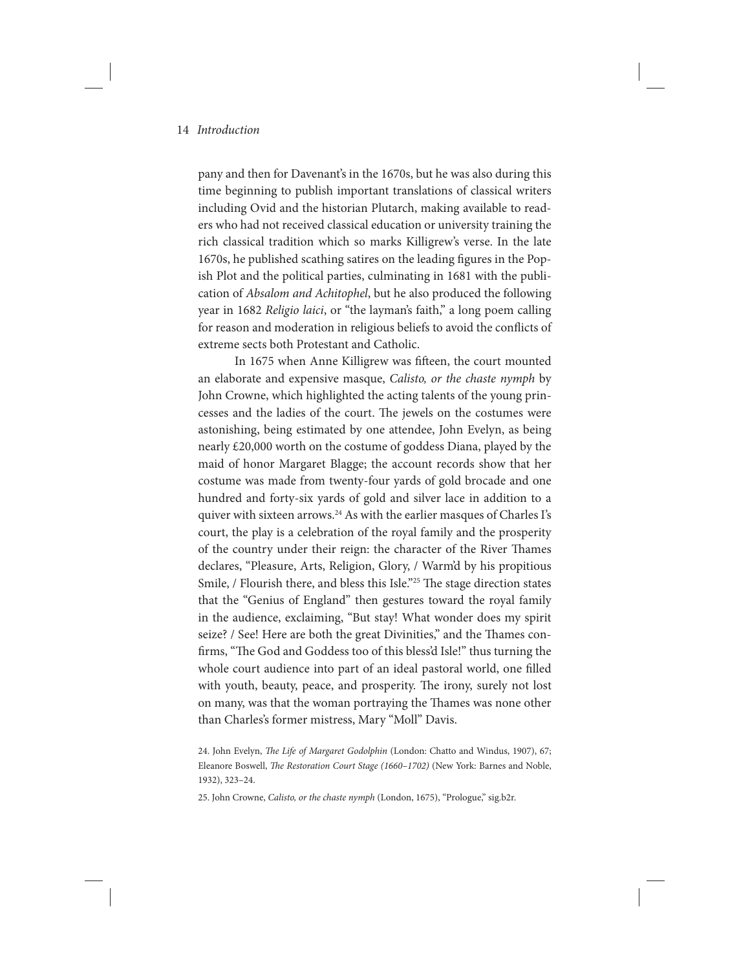pany and then for Davenant's in the 1670s, but he was also during this time beginning to publish important translations of classical writers including Ovid and the historian Plutarch, making available to readers who had not received classical education or university training the rich classical tradition which so marks Killigrew's verse. In the late 1670s, he published scathing satires on the leading figures in the Popish Plot and the political parties, culminating in 1681 with the publication of Absalom and Achitophel, but he also produced the following year in 1682 Religio laici, or "the layman's faith," a long poem calling for reason and moderation in religious beliefs to avoid the conflicts of extreme sects both Protestant and Catholic.

In 1675 when Anne Killigrew was fifteen, the court mounted an elaborate and expensive masque, Calisto, or the chaste nymph by John Crowne, which highlighted the acting talents of the young princesses and the ladies of the court. The jewels on the costumes were astonishing, being estimated by one attendee, John Evelyn, as being nearly £20,000 worth on the costume of goddess Diana, played by the maid of honor Margaret Blagge; the account records show that her costume was made from twenty-four yards of gold brocade and one hundred and forty-six yards of gold and silver lace in addition to a quiver with sixteen arrows.<sup>24</sup> As with the earlier masques of Charles I's court, the play is a celebration of the royal family and the prosperity of the country under their reign: the character of the River Thames declares, "Pleasure, Arts, Religion, Glory, / Warm'd by his propitious Smile, / Flourish there, and bless this Isle."<sup>25</sup> The stage direction states that the "Genius of England" then gestures toward the royal family in the audience, exclaiming, "But stay! What wonder does my spirit seize? / See! Here are both the great Divinities," and the Thames confirms, "The God and Goddess too of this bless'd Isle!" thus turning the whole court audience into part of an ideal pastoral world, one filled with youth, beauty, peace, and prosperity. The irony, surely not lost on many, was that the woman portraying the Thames was none other than Charles's former mistress, Mary "Moll" Davis.

24. John Evelyn, The Life of Margaret Godolphin (London: Chatto and Windus, 1907), 67; Eleanore Boswell, The Restoration Court Stage (1660–1702) (New York: Barnes and Noble, 1932), 323–24.

25. John Crowne, Calisto, or the chaste nymph (London, 1675), "Prologue," sig.b2r.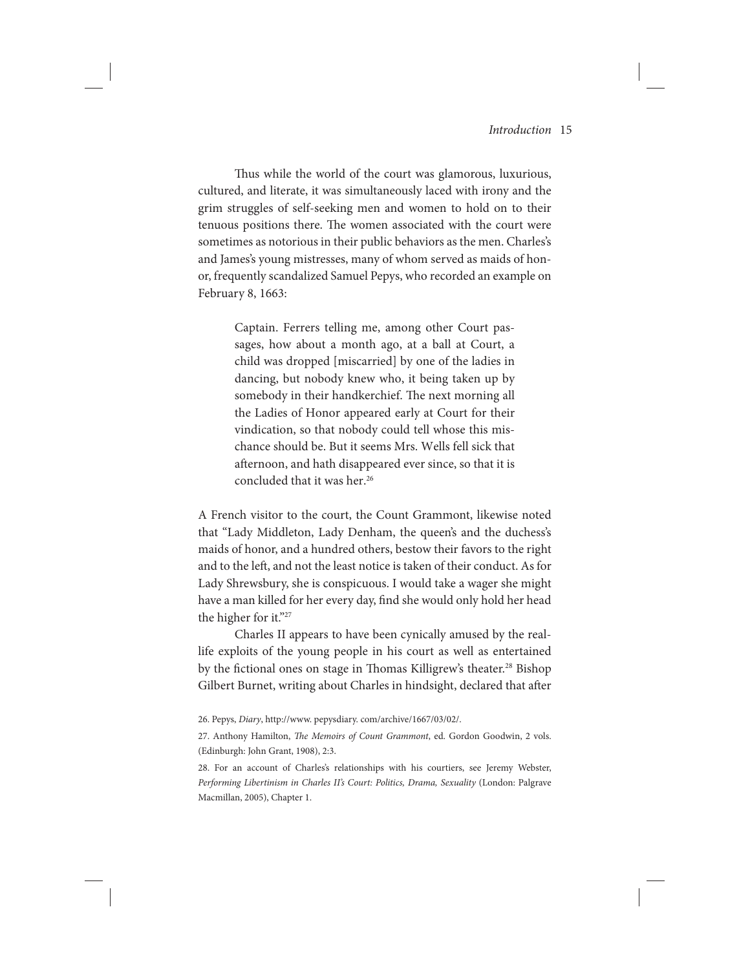Thus while the world of the court was glamorous, luxurious, cultured, and literate, it was simultaneously laced with irony and the grim struggles of self-seeking men and women to hold on to their tenuous positions there. The women associated with the court were sometimes as notorious in their public behaviors as the men. Charles's and James's young mistresses, many of whom served as maids of honor, frequently scandalized Samuel Pepys, who recorded an example on February 8, 1663:

> Captain. Ferrers telling me, among other Court passages, how about a month ago, at a ball at Court, a child was dropped [miscarried] by one of the ladies in dancing, but nobody knew who, it being taken up by somebody in their handkerchief. The next morning all the Ladies of Honor appeared early at Court for their vindication, so that nobody could tell whose this mischance should be. But it seems Mrs. Wells fell sick that afternoon, and hath disappeared ever since, so that it is concluded that it was her.<sup>26</sup>

A French visitor to the court, the Count Grammont, likewise noted that "Lady Middleton, Lady Denham, the queen's and the duchess's maids of honor, and a hundred others, bestow their favors to the right and to the left, and not the least notice is taken of their conduct. As for Lady Shrewsbury, she is conspicuous. I would take a wager she might have a man killed for her every day, find she would only hold her head the higher for it."27

Charles II appears to have been cynically amused by the reallife exploits of the young people in his court as well as entertained by the fictional ones on stage in Thomas Killigrew's theater.<sup>28</sup> Bishop Gilbert Burnet, writing about Charles in hindsight, declared that after

28. For an account of Charles's relationships with his courtiers, see Jeremy Webster, Performing Libertinism in Charles II's Court: Politics, Drama, Sexuality (London: Palgrave Macmillan, 2005), Chapter 1.

<sup>26.</sup> Pepys, Diary, http://www. pepysdiary. com/archive/1667/03/02/.

<sup>27.</sup> Anthony Hamilton, The Memoirs of Count Grammont, ed. Gordon Goodwin, 2 vols. (Edinburgh: John Grant, 1908), 2:3.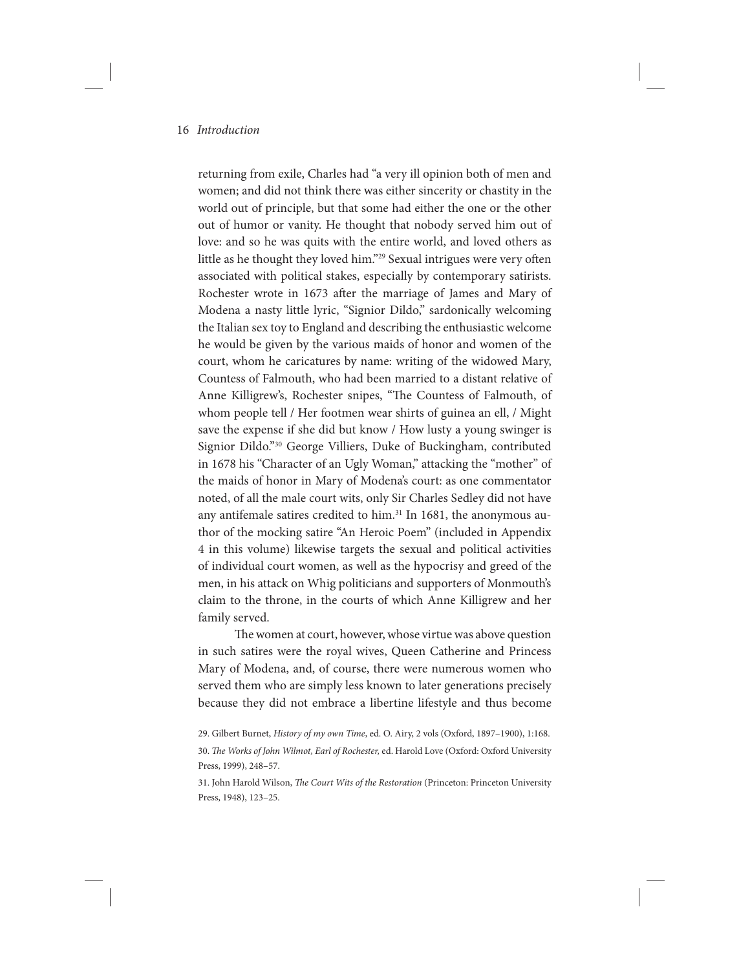returning from exile, Charles had "a very ill opinion both of men and women; and did not think there was either sincerity or chastity in the world out of principle, but that some had either the one or the other out of humor or vanity. He thought that nobody served him out of love: and so he was quits with the entire world, and loved others as little as he thought they loved him."<sup>29</sup> Sexual intrigues were very often associated with political stakes, especially by contemporary satirists. Rochester wrote in 1673 after the marriage of James and Mary of Modena a nasty little lyric, "Signior Dildo," sardonically welcoming the Italian sex toy to England and describing the enthusiastic welcome he would be given by the various maids of honor and women of the court, whom he caricatures by name: writing of the widowed Mary, Countess of Falmouth, who had been married to a distant relative of Anne Killigrew's, Rochester snipes, "The Countess of Falmouth, of whom people tell / Her footmen wear shirts of guinea an ell, / Might save the expense if she did but know / How lusty a young swinger is Signior Dildo."30 George Villiers, Duke of Buckingham, contributed in 1678 his "Character of an Ugly Woman," attacking the "mother" of the maids of honor in Mary of Modena's court: as one commentator noted, of all the male court wits, only Sir Charles Sedley did not have any antifemale satires credited to him.<sup>31</sup> In 1681, the anonymous author of the mocking satire "An Heroic Poem" (included in Appendix 4 in this volume) likewise targets the sexual and political activities of individual court women, as well as the hypocrisy and greed of the men, in his attack on Whig politicians and supporters of Monmouth's claim to the throne, in the courts of which Anne Killigrew and her family served.

The women at court, however, whose virtue was above question in such satires were the royal wives, Queen Catherine and Princess Mary of Modena, and, of course, there were numerous women who served them who are simply less known to later generations precisely because they did not embrace a libertine lifestyle and thus become

<sup>29.</sup> Gilbert Burnet, History of my own Time, ed. O. Airy, 2 vols (Oxford, 1897–1900), 1:168. 30. The Works of John Wilmot, Earl of Rochester, ed. Harold Love (Oxford: Oxford University Press, 1999), 248–57.

<sup>31.</sup> John Harold Wilson, The Court Wits of the Restoration (Princeton: Princeton University Press, 1948), 123–25.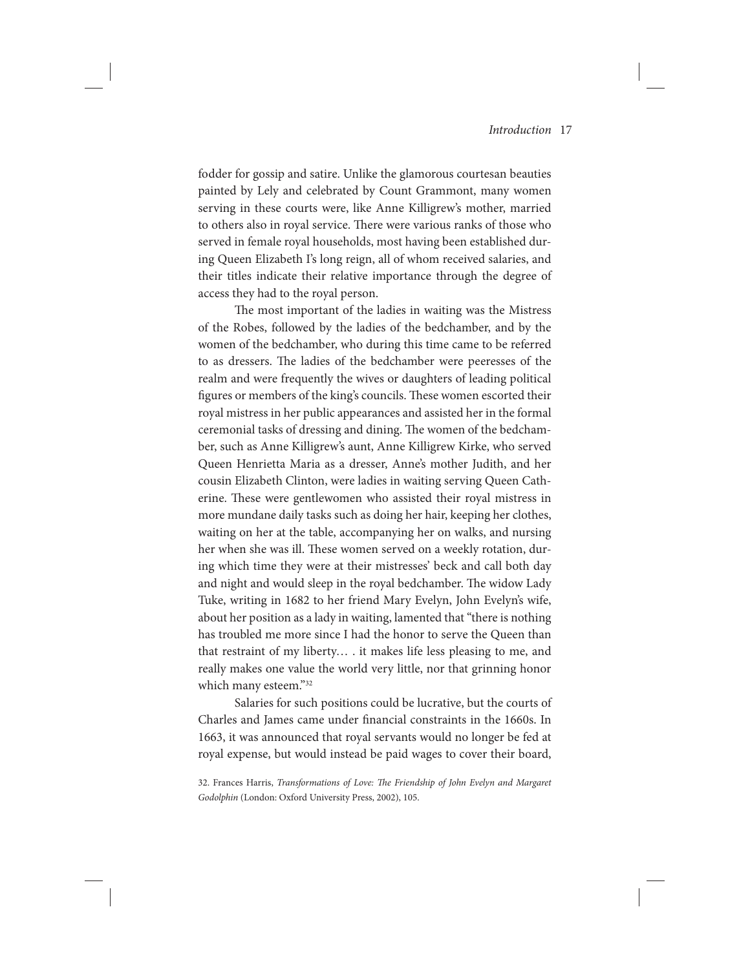fodder for gossip and satire. Unlike the glamorous courtesan beauties painted by Lely and celebrated by Count Grammont, many women serving in these courts were, like Anne Killigrew's mother, married to others also in royal service. There were various ranks of those who served in female royal households, most having been established during Queen Elizabeth I's long reign, all of whom received salaries, and their titles indicate their relative importance through the degree of access they had to the royal person.

The most important of the ladies in waiting was the Mistress of the Robes, followed by the ladies of the bedchamber, and by the women of the bedchamber, who during this time came to be referred to as dressers. The ladies of the bedchamber were peeresses of the realm and were frequently the wives or daughters of leading political figures or members of the king's councils. These women escorted their royal mistress in her public appearances and assisted her in the formal ceremonial tasks of dressing and dining. The women of the bedchamber, such as Anne Killigrew's aunt, Anne Killigrew Kirke, who served Queen Henrietta Maria as a dresser, Anne's mother Judith, and her cousin Elizabeth Clinton, were ladies in waiting serving Queen Catherine. These were gentlewomen who assisted their royal mistress in more mundane daily tasks such as doing her hair, keeping her clothes, waiting on her at the table, accompanying her on walks, and nursing her when she was ill. These women served on a weekly rotation, during which time they were at their mistresses' beck and call both day and night and would sleep in the royal bedchamber. The widow Lady Tuke, writing in 1682 to her friend Mary Evelyn, John Evelyn's wife, about her position as a lady in waiting, lamented that "there is nothing has troubled me more since I had the honor to serve the Queen than that restraint of my liberty… . it makes life less pleasing to me, and really makes one value the world very little, nor that grinning honor which many esteem."32

Salaries for such positions could be lucrative, but the courts of Charles and James came under financial constraints in the 1660s. In 1663, it was announced that royal servants would no longer be fed at royal expense, but would instead be paid wages to cover their board,

<sup>32.</sup> Frances Harris, Transformations of Love: The Friendship of John Evelyn and Margaret Godolphin (London: Oxford University Press, 2002), 105.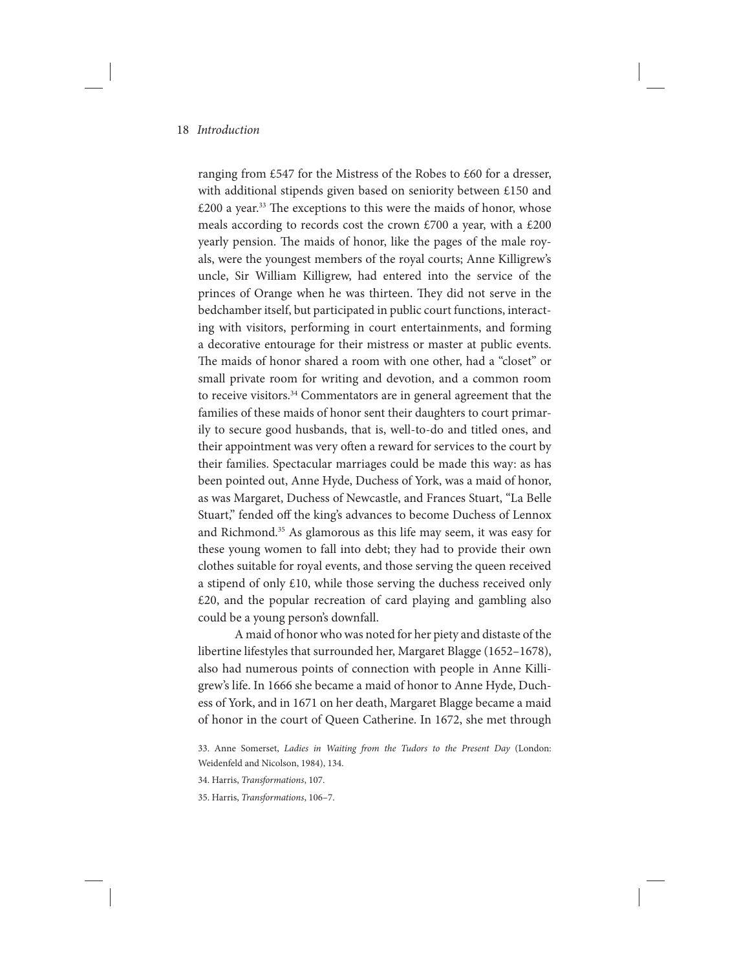ranging from £547 for the Mistress of the Robes to £60 for a dresser, with additional stipends given based on seniority between £150 and  $£200$  a year.<sup>33</sup> The exceptions to this were the maids of honor, whose meals according to records cost the crown £700 a year, with a £200 yearly pension. The maids of honor, like the pages of the male royals, were the youngest members of the royal courts; Anne Killigrew's uncle, Sir William Killigrew, had entered into the service of the princes of Orange when he was thirteen. They did not serve in the bedchamber itself, but participated in public court functions, interacting with visitors, performing in court entertainments, and forming a decorative entourage for their mistress or master at public events. The maids of honor shared a room with one other, had a "closet" or small private room for writing and devotion, and a common room to receive visitors.<sup>34</sup> Commentators are in general agreement that the families of these maids of honor sent their daughters to court primarily to secure good husbands, that is, well-to-do and titled ones, and their appointment was very often a reward for services to the court by their families. Spectacular marriages could be made this way: as has been pointed out, Anne Hyde, Duchess of York, was a maid of honor, as was Margaret, Duchess of Newcastle, and Frances Stuart, "La Belle Stuart," fended off the king's advances to become Duchess of Lennox and Richmond.<sup>35</sup> As glamorous as this life may seem, it was easy for these young women to fall into debt; they had to provide their own clothes suitable for royal events, and those serving the queen received a stipend of only £10, while those serving the duchess received only £20, and the popular recreation of card playing and gambling also could be a young person's downfall.

A maid of honor who was noted for her piety and distaste of the libertine lifestyles that surrounded her, Margaret Blagge (1652–1678), also had numerous points of connection with people in Anne Killigrew's life. In 1666 she became a maid of honor to Anne Hyde, Duchess of York, and in 1671 on her death, Margaret Blagge became a maid of honor in the court of Queen Catherine. In 1672, she met through

35. Harris, Transformations, 106–7.

<sup>33.</sup> Anne Somerset, Ladies in Waiting from the Tudors to the Present Day (London: Weidenfeld and Nicolson, 1984), 134.

<sup>34.</sup> Harris, Transformations, 107.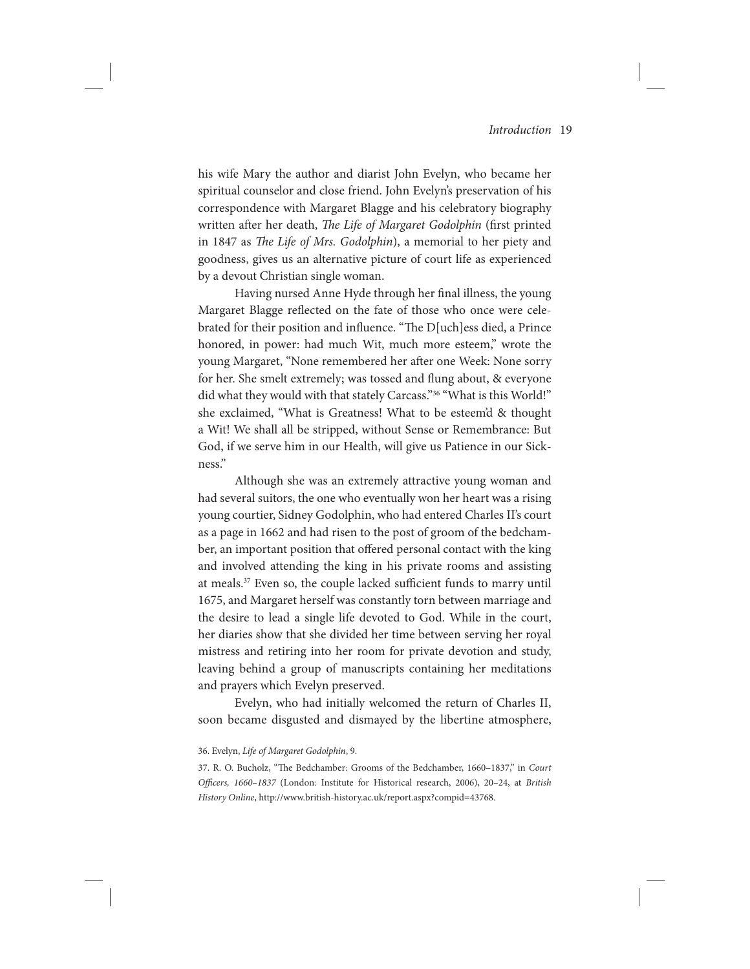his wife Mary the author and diarist John Evelyn, who became her spiritual counselor and close friend. John Evelyn's preservation of his correspondence with Margaret Blagge and his celebratory biography written after her death, The Life of Margaret Godolphin (first printed in 1847 as The Life of Mrs. Godolphin), a memorial to her piety and goodness, gives us an alternative picture of court life as experienced by a devout Christian single woman.

Having nursed Anne Hyde through her final illness, the young Margaret Blagge reflected on the fate of those who once were celebrated for their position and influence. "The D[uch]ess died, a Prince honored, in power: had much Wit, much more esteem," wrote the young Margaret, "None remembered her after one Week: None sorry for her. She smelt extremely; was tossed and flung about, & everyone did what they would with that stately Carcass."36 "What is this World!" she exclaimed, "What is Greatness! What to be esteem'd & thought a Wit! We shall all be stripped, without Sense or Remembrance: But God, if we serve him in our Health, will give us Patience in our Sickness."

Although she was an extremely attractive young woman and had several suitors, the one who eventually won her heart was a rising young courtier, Sidney Godolphin, who had entered Charles II's court as a page in 1662 and had risen to the post of groom of the bedchamber, an important position that offered personal contact with the king and involved attending the king in his private rooms and assisting at meals.37 Even so, the couple lacked sufficient funds to marry until 1675, and Margaret herself was constantly torn between marriage and the desire to lead a single life devoted to God. While in the court, her diaries show that she divided her time between serving her royal mistress and retiring into her room for private devotion and study, leaving behind a group of manuscripts containing her meditations and prayers which Evelyn preserved.

Evelyn, who had initially welcomed the return of Charles II, soon became disgusted and dismayed by the libertine atmosphere,

#### 36. Evelyn, Life of Margaret Godolphin, 9.

<sup>37.</sup> R. O. Bucholz, "The Bedchamber: Grooms of the Bedchamber, 1660–1837," in Court Officers, 1660-1837 (London: Institute for Historical research, 2006), 20-24, at British History Online, http://www.british-history.ac.uk/report.aspx?compid=43768.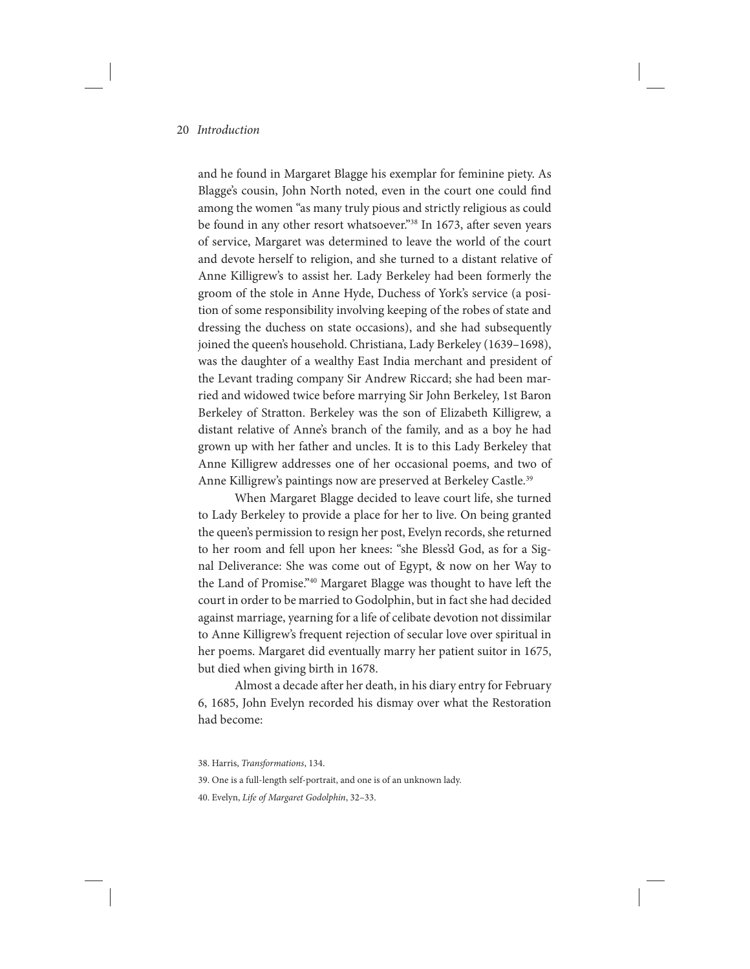and he found in Margaret Blagge his exemplar for feminine piety. As Blagge's cousin, John North noted, even in the court one could find among the women "as many truly pious and strictly religious as could be found in any other resort whatsoever."38 In 1673, after seven years of service, Margaret was determined to leave the world of the court and devote herself to religion, and she turned to a distant relative of Anne Killigrew's to assist her. Lady Berkeley had been formerly the groom of the stole in Anne Hyde, Duchess of York's service (a position of some responsibility involving keeping of the robes of state and dressing the duchess on state occasions), and she had subsequently joined the queen's household. Christiana, Lady Berkeley (1639–1698), was the daughter of a wealthy East India merchant and president of the Levant trading company Sir Andrew Riccard; she had been married and widowed twice before marrying Sir John Berkeley, 1st Baron Berkeley of Stratton. Berkeley was the son of Elizabeth Killigrew, a distant relative of Anne's branch of the family, and as a boy he had grown up with her father and uncles. It is to this Lady Berkeley that Anne Killigrew addresses one of her occasional poems, and two of Anne Killigrew's paintings now are preserved at Berkeley Castle.<sup>39</sup>

When Margaret Blagge decided to leave court life, she turned to Lady Berkeley to provide a place for her to live. On being granted the queen's permission to resign her post, Evelyn records, she returned to her room and fell upon her knees: "she Bless'd God, as for a Signal Deliverance: She was come out of Egypt, & now on her Way to the Land of Promise."40 Margaret Blagge was thought to have left the court in order to be married to Godolphin, but in fact she had decided against marriage, yearning for a life of celibate devotion not dissimilar to Anne Killigrew's frequent rejection of secular love over spiritual in her poems. Margaret did eventually marry her patient suitor in 1675, but died when giving birth in 1678.

Almost a decade after her death, in his diary entry for February 6, 1685, John Evelyn recorded his dismay over what the Restoration had become:

<sup>38.</sup> Harris, Transformations, 134.

<sup>39.</sup> One is a full-length self-portrait, and one is of an unknown lady.

<sup>40.</sup> Evelyn, Life of Margaret Godolphin, 32–33.